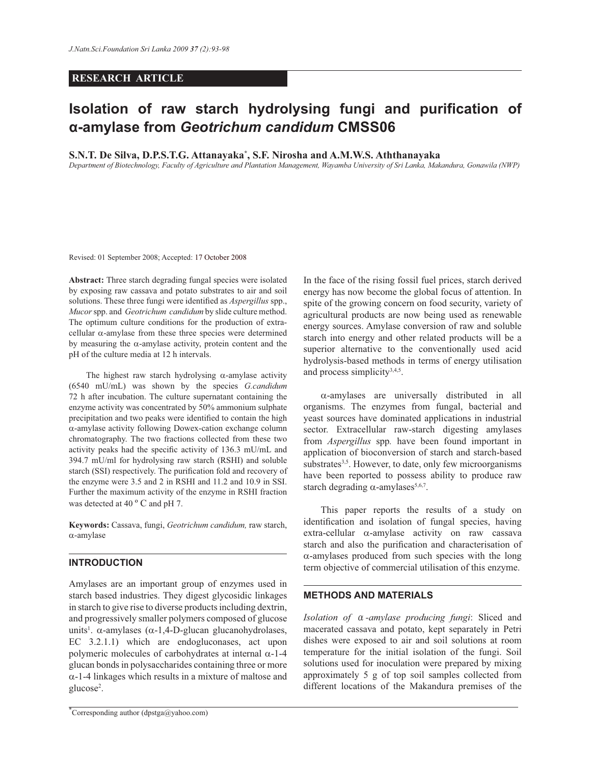### **RESEARCH ARTICLE**

# **Isolation of raw starch hydrolysing fungi and purification of α-amylase from** *Geotrichum candidum* **CMSS06**

**S.N.T. De Silva, D.P.S.T.G. Attanayaka\* , S.F. Nirosha and A.M.W.S. Aththanayaka**

*Department of Biotechnology, Faculty of Agriculture and Plantation Management, Wayamba University of Sri Lanka, Makandura, Gonawila (NWP)*

Revised: 01 September 2008; Accepted: 17 October 2008

**Abstract:** Three starch degrading fungal species were isolated by exposing raw cassava and potato substrates to air and soil solutions. These three fungi were identified as *Aspergillus* spp., *Mucor* spp. and *Geotrichum candidum* by slide culture method. The optimum culture conditions for the production of extracellular α-amylase from these three species were determined by measuring the  $\alpha$ -amylase activity, protein content and the pH of the culture media at 12 h intervals.

The highest raw starch hydrolysing  $\alpha$ -amylase activity (6540 mU/mL) was shown by the species *G.candidum* 72 h after incubation. The culture supernatant containing the enzyme activity was concentrated by 50% ammonium sulphate precipitation and two peaks were identified to contain the high α-amylase activity following Dowex-cation exchange column chromatography. The two fractions collected from these two activity peaks had the specific activity of 136.3 mU/mL and 394.7 mU/ml for hydrolysing raw starch (RSHI) and soluble starch (SSI) respectively. The purification fold and recovery of the enzyme were 3.5 and 2 in RSHI and 11.2 and 10.9 in SSI. Further the maximum activity of the enzyme in RSHI fraction was detected at 40 °C and pH 7.

**Keywords:** Cassava, fungi, *Geotrichum candidum,* raw starch, α-amylase

## **INTRODUCTION**

Amylases are an important group of enzymes used in starch based industries. They digest glycosidic linkages in starch to give rise to diverse products including dextrin, and progressively smaller polymers composed of glucose units<sup>1</sup>.  $\alpha$ -amylases ( $\alpha$ -1,4-D-glucan glucanohydrolases, EC 3.2.1.1) which are endogluconases, act upon polymeric molecules of carbohydrates at internal  $α-1-4$ glucan bonds in polysaccharides containing three or more  $\alpha$ -1-4 linkages which results in a mixture of maltose and glucose<sup>2</sup>.

In the face of the rising fossil fuel prices, starch derived energy has now become the global focus of attention. In spite of the growing concern on food security, variety of agricultural products are now being used as renewable energy sources. Amylase conversion of raw and soluble starch into energy and other related products will be a superior alternative to the conventionally used acid hydrolysis-based methods in terms of energy utilisation and process simplicity<sup>3,4,5</sup>.

 α-amylases are universally distributed in all organisms. The enzymes from fungal, bacterial and yeast sources have dominated applications in industrial sector. Extracellular raw-starch digesting amylases from *Aspergillus* spp*.* have been found important in application of bioconversion of starch and starch-based substrates<sup>3,5</sup>. However, to date, only few microorganisms have been reported to possess ability to produce raw starch degrading  $\alpha$ -amylases<sup>5,6,7</sup>.

 This paper reports the results of a study on identification and isolation of fungal species, having extra-cellular α-amylase activity on raw cassava starch and also the purification and characterisation of α-amylases produced from such species with the long term objective of commercial utilisation of this enzyme. .

# **METHODS AND MATERIALS**

*Isolation of* α*-amylase producing fungi*: Sliced and macerated cassava and potato, kept separately in Petri dishes were exposed to air and soil solutions at room temperature for the initial isolation of the fungi. Soil solutions used for inoculation were prepared by mixing approximately 5 g of top soil samples collected from different locations of the Makandura premises of the

 $\int^{\infty}$ Corresponding author (dpstga@yahoo.com)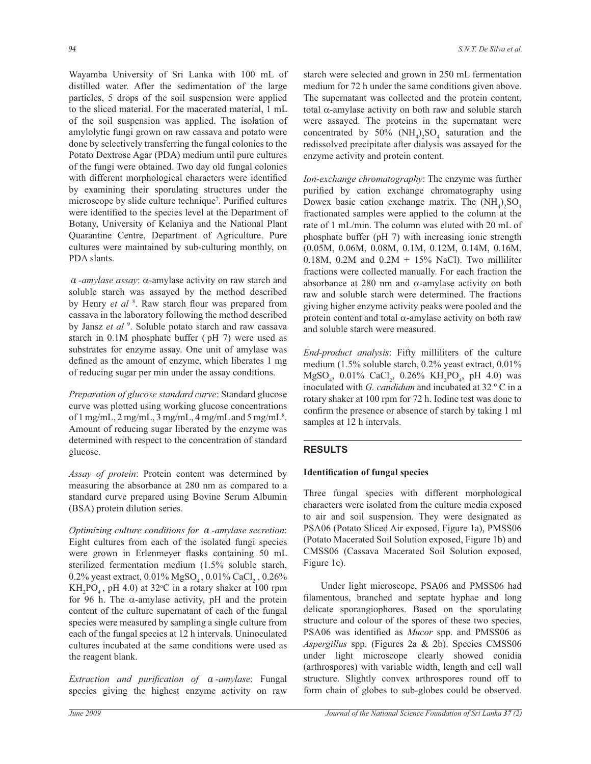Wayamba University of Sri Lanka with 100 mL of distilled water. After the sedimentation of the large particles, 5 drops of the soil suspension were applied to the sliced material. For the macerated material, 1 mL of the soil suspension was applied. The isolation of amylolytic fungi grown on raw cassava and potato were done by selectively transferring the fungal colonies to the Potato Dextrose Agar (PDA) medium until pure cultures of the fungi were obtained. Two day old fungal colonies with different morphological characters were identified by examining their sporulating structures under the microscope by slide culture technique<sup>7</sup>. Purified cultures were identified to the species level at the Department of Botany, University of Kelaniya and the National Plant Quarantine Centre, Department of Agriculture. Pure cultures were maintained by sub-culturing monthly, on PDA slants.

α*-amylase assay*: α-amylase activity on raw starch and soluble starch was assayed by the method described by Henry *et al* <sup>8</sup>. Raw starch flour was prepared from cassava in the laboratory following the method described by Jansz et al<sup>9</sup>. Soluble potato starch and raw cassava starch in 0.1M phosphate buffer ( pH 7) were used as substrates for enzyme assay. One unit of amylase was defined as the amount of enzyme, which liberates 1 mg of reducing sugar per min under the assay conditions.

*Preparation of glucose standard curve*: Standard glucose curve was plotted using working glucose concentrations of 1 mg/mL, 2 mg/mL, 3 mg/mL, 4 mg/mL and 5 mg/mL $^{8}$ . Amount of reducing sugar liberated by the enzyme was determined with respect to the concentration of standard glucose.

*Assay of protein*: Protein content was determined by measuring the absorbance at 280 nm as compared to a standard curve prepared using Bovine Serum Albumin (BSA) protein dilution series.

*Optimizing culture conditions for* α*-amylase secretion*: Eight cultures from each of the isolated fungi species were grown in Erlenmeyer flasks containing 50 mL sterilized fermentation medium (1.5% soluble starch, 0.2% yeast extract, 0.01%  ${\rm MgSO}_4$ , 0.01% CaCl<sub>2</sub>, 0.26%  $KH<sub>2</sub>PO<sub>4</sub>$ , pH 4.0) at 32°C in a rotary shaker at 100 rpm for 96 h. The  $\alpha$ -amylase activity, pH and the protein content of the culture supernatant of each of the fungal species were measured by sampling a single culture from each of the fungal species at 12 h intervals. Uninoculated cultures incubated at the same conditions were used as the reagent blank.

*Extraction and purification of* α*-amylase*: Fungal species giving the highest enzyme activity on raw starch were selected and grown in 250 mL fermentation medium for 72 h under the same conditions given above. The supernatant was collected and the protein content, total α-amylase activity on both raw and soluble starch were assayed. The proteins in the supernatant were concentrated by 50%  $(NH_4)_2SO_4$  saturation and the redissolved precipitate after dialysis was assayed for the enzyme activity and protein content.

*Ion-exchange chromatography*: The enzyme was further purified by cation exchange chromatography using Dowex basic cation exchange matrix. The  $(NH_4)_2SO_4$ fractionated samples were applied to the column at the rate of 1 mL/min. The column was eluted with 20 mL of phosphate buffer (pH 7) with increasing ionic strength (0.05M, 0.06M, 0.08M, 0.1M, 0.12M, 0.14M, 0.16M, 0.18M, 0.2M and  $0.2M + 15%$  NaCl). Two milliliter fractions were collected manually. For each fraction the absorbance at 280 nm and α-amylase activity on both raw and soluble starch were determined. The fractions giving higher enzyme activity peaks were pooled and the protein content and total  $\alpha$ -amylase activity on both raw and soluble starch were measured.

*End-product analysis*: Fifty milliliters of the culture medium (1.5% soluble starch, 0.2% yeast extract, 0.01%  $MgSO_4$ , 0.01% CaCl<sub>2</sub>, 0.26% KH<sub>2</sub>PO<sub>4</sub>, pH 4.0) was inoculated with *G. candidum* and incubated at 32 º C in a rotary shaker at 100 rpm for 72 h. Iodine test was done to confirm the presence or absence of starch by taking 1 ml samples at 12 h intervals.

### **RESULTS**

### **Identification of fungal species**

Three fungal species with different morphological characters were isolated from the culture media exposed to air and soil suspension. They were designated as PSA06 (Potato Sliced Air exposed, Figure 1a), PMSS06 (Potato Macerated Soil Solution exposed, Figure 1b) and CMSS06 (Cassava Macerated Soil Solution exposed, Figure 1c).

 Under light microscope, PSA06 and PMSS06 had filamentous, branched and septate hyphae and long delicate sporangiophores. Based on the sporulating structure and colour of the spores of these two species, PSA06 was identified as *Mucor* spp. and PMSS06 as *Aspergillus* spp. (Figures 2a & 2b). Species CMSS06 under light microscope clearly showed conidia (arthrospores) with variable width, length and cell wall structure. Slightly convex arthrospores round off to form chain of globes to sub-globes could be observed.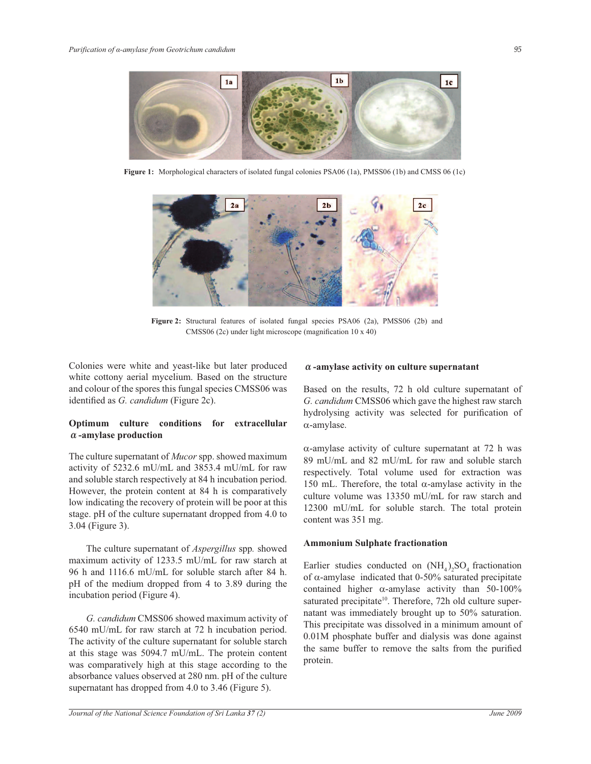

**Figure 1:** Morphological characters of isolated fungal colonies PSA06 (1a), PMSS06 (1b) and CMSS 06 (1c)



**Figure 2:** Structural features of isolated fungal species PSA06 (2a), PMSS06 (2b) and CMSS06 (2c) under light microscope (magnification 10 x 40)

Colonies were white and yeast-like but later produced white cottony aerial mycelium. Based on the structure and colour of the spores this fungal species CMSS06 was identified as *G. candidum* (Figure 2c).

# **Optimum culture conditions for extracellular α-amylase production**

The culture supernatant of *Mucor* spp. showed maximum activity of 5232.6 mU/mL and 3853.4 mU/mL for raw and soluble starch respectively at 84 h incubation period. However, the protein content at 84 h is comparatively low indicating the recovery of protein will be poor at this stage. pH of the culture supernatant dropped from 4.0 to 3.04 (Figure 3).

 The culture supernatant of *Aspergillus* spp*.* showed maximum activity of 1233.5 mU/mL for raw starch at 96 h and 1116.6 mU/mL for soluble starch after 84 h. pH of the medium dropped from 4 to 3.89 during the incubation period (Figure 4).

 *G. candidum* CMSS06 showed maximum activity of 6540 mU/mL for raw starch at 72 h incubation period. The activity of the culture supernatant for soluble starch at this stage was 5094.7 mU/mL. The protein content was comparatively high at this stage according to the absorbance values observed at 280 nm. pH of the culture supernatant has dropped from 4.0 to 3.46 (Figure 5).

# **α-amylase activity on culture supernatant**

Based on the results, 72 h old culture supernatant of *G. candidum* CMSS06 which gave the highest raw starch hydrolysing activity was selected for purification of α-amylase.

 $\alpha$ -amylase activity of culture supernatant at 72 h was 89 mU/mL and 82 mU/mL for raw and soluble starch respectively. Total volume used for extraction was 150 mL. Therefore, the total  $\alpha$ -amylase activity in the culture volume was 13350 mU/mL for raw starch and 12300 mU/mL for soluble starch. The total protein content was 351 mg.

### **Ammonium Sulphate fractionation**

Earlier studies conducted on  $(NH_4)_2SO_4$  fractionation of α-amylase indicated that 0-50% saturated precipitate contained higher  $\alpha$ -amylase activity than 50-100% saturated precipitate<sup>10</sup>. Therefore, 72h old culture supernatant was immediately brought up to 50% saturation. This precipitate was dissolved in a minimum amount of 0.01M phosphate buffer and dialysis was done against the same buffer to remove the salts from the purified protein.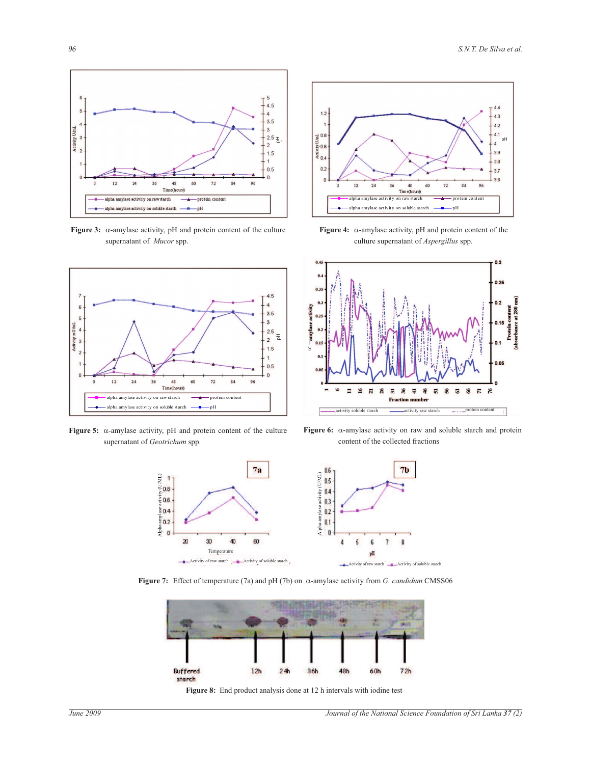

**Figure 3:** α-amylase activity, pH and protein content of the culture supernatant of *Mucor* spp.



**Figure 5:** α-amylase activity, pH and protein content of the culture supernatant of *Geotrichum* spp.



**Figure 4:** α-amylase activity, pH and protein content of the culture supernatant of *Aspergillus* spp.



**Figure 6:** α-amylase activity on raw and soluble starch and protein content of the collected fractions



h t **Figure 7:** Effect of temperature (7a) and pH (7b) on α-amylase activity from *G. candidum* CMSS06



Figure 8: End product analysis done at 12 h intervals with iodine test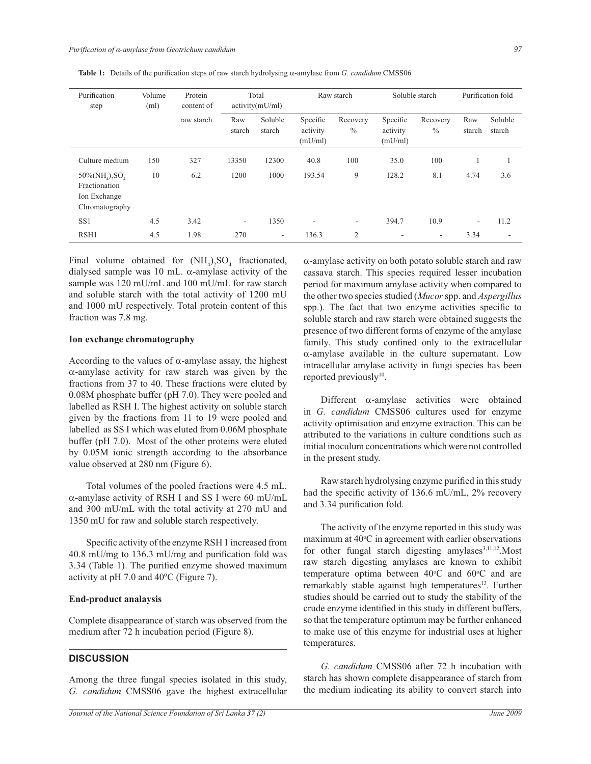| Purification<br>step                                                            | Volume<br>(ml) | Protein<br>content of<br>raw starch | Total<br>activity(mU/ml) |                              | Raw starch                      |                           | Soluble starch                  |                           | Purification fold |                   |
|---------------------------------------------------------------------------------|----------------|-------------------------------------|--------------------------|------------------------------|---------------------------------|---------------------------|---------------------------------|---------------------------|-------------------|-------------------|
|                                                                                 |                |                                     | Raw<br>starch            | Soluble<br>starch            | Specific<br>activity<br>(mU/ml) | Recovery<br>$\frac{0}{0}$ | Specific<br>activity<br>(mU/ml) | Recovery<br>$\frac{0}{0}$ | Raw<br>starch     | Soluble<br>starch |
| Culture medium                                                                  | 150            | 327                                 | 13350                    | 12300                        | 40.8                            | 100                       | 35.0                            | 100                       |                   |                   |
| $50\%(\text{NH}_4)$ , $SO_4$<br>Fractionation<br>Ion Exchange<br>Chromatography | 10             | 6.2                                 | 1200                     | 1000                         | 193.54                          | 9                         | 128.2                           | 8.1                       | 4.74              | 3.6               |
| SS <sub>1</sub>                                                                 | 4.5            | 3.42                                | ۰                        | 1350                         | $\overline{\phantom{a}}$        | $\overline{\phantom{a}}$  | 394.7                           | 10.9                      | ٠                 | 11.2              |
| RSH1                                                                            | 4.5            | 1.98                                | 270                      | $\qquad \qquad \blacksquare$ | 136.3                           | $\overline{2}$            | ۰                               | $\overline{\phantom{a}}$  | 3.34              |                   |

**Table 1:** Details of the purification steps of raw starch hydrolysing α-amylase from *G. candidum* CMSS06

Final volume obtained for  $(NH_4)_2SO_4$  fractionated, dialysed sample was 10 mL.  $\alpha$ -amylase activity of the sample was 120 mU/mL and 100 mU/mL for raw starch and soluble starch with the total activity of 1200 mU and 1000 mU respectively. Total protein content of this fraction was 7.8 mg.

### **Ion exchange chromatography**

According to the values of  $\alpha$ -amylase assay, the highest α-amylase activity for raw starch was given by the fractions from 37 to 40. These fractions were eluted by 0.08M phosphate buffer (pH 7.0). They were pooled and labelled as RSH I. The highest activity on soluble starch given by the fractions from 11 to 19 were pooled and labelled as SS I which was eluted from 0.06M phosphate buffer (pH 7.0). Most of the other proteins were eluted by 0.05M ionic strength according to the absorbance value observed at 280 nm (Figure 6).

 Total volumes of the pooled fractions were 4.5 mL. α-amylase activity of RSH I and SS I were 60 mU/mL and 300 mU/mL with the total activity at 270 mU and 1350 mU for raw and soluble starch respectively.

 Specific activity of the enzyme RSH 1 increased from 40.8 mU/mg to 136.3 mU/mg and purification fold was 3.34 (Table 1). The purified enzyme showed maximum activity at pH 7.0 and 40ºC (Figure 7).

### **End-product analaysis**

Complete disappearance of starch was observed from the medium after 72 h incubation period (Figure 8).

## **DISCUSSION**

Among the three fungal species isolated in this study, *G. candidum* CMSS06 gave the highest extracellular α-amylase activity on both potato soluble starch and raw cassava starch. This species required lesser incubation period for maximum amylase activity when compared to the other two species studied (*Mucor* spp. and *Aspergillus*  spp.). The fact that two enzyme activities specific to soluble starch and raw starch were obtained suggests the presence of two different forms of enzyme of the amylase family. This study confined only to the extracellular  $\alpha$ -amylase available in the culture supernatant. Low intracellular amylase activity in fungi species has been reported previously<sup>10</sup>.

 Different α-amylase activities were obtained in *G. candidum* CMSS06 cultures used for enzyme activity optimisation and enzyme extraction. This can be attributed to the variations in culture conditions such as initial inoculum concentrations which were not controlled in the present study.

 Raw starch hydrolysing enzyme purified in this study had the specific activity of 136.6 mU/mL, 2% recovery and 3.34 purification fold.

 The activity of the enzyme reported in this study was maximum at  $40^{\circ}$ C in agreement with earlier observations for other fungal starch digesting amylases $3,11,12$ . Most raw starch digesting amylases are known to exhibit temperature optima between  $40^{\circ}$ C and  $60^{\circ}$ C and are remarkably stable against high temperatures<sup>13</sup>. Further studies should be carried out to study the stability of the crude enzyme identified in this study in different buffers, so that the temperature optimum may be further enhanced to make use of this enzyme for industrial uses at higher temperatures.

 *G. candidum* CMSS06 after 72 h incubation with starch has shown complete disappearance of starch from the medium indicating its ability to convert starch into